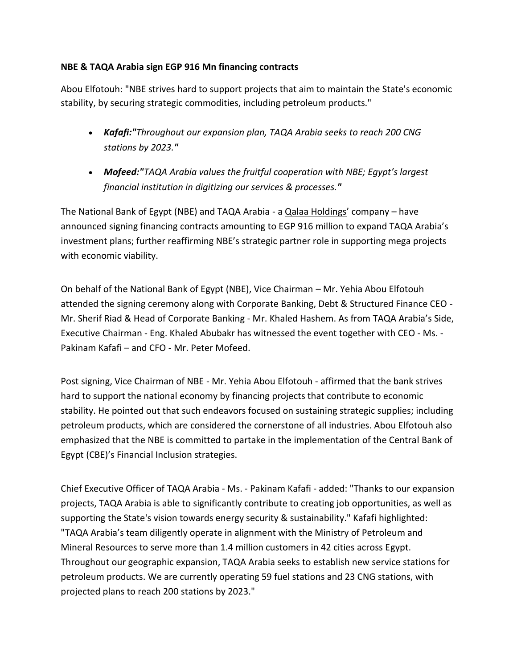## **NBE & TAQA Arabia sign EGP 916 Mn financing contracts**

Abou Elfotouh: "NBE strives hard to support projects that aim to maintain the State's economic stability, by securing strategic commodities, including petroleum products."

- *Kafafi:"Throughout our expansion plan, TAQA [Arabia](https://www.zawya.com/mena/en/company/TAQA_Arabia_Company_SAE-1001921/) seeks to reach 200 CNG stations by 2023."*
- *Mofeed:"TAQA Arabia values the fruitful cooperation with NBE; Egypt's largest financial institution in digitizing our services & processes."*

The National Bank of Egypt (NBE) and TAQA Arabia - a [Qalaa Holdings](https://www.zawya.com/mena/en/company/Qalaa_Holdings-1007188/)' company – have announced signing financing contracts amounting to EGP 916 million to expand TAQA Arabia's investment plans; further reaffirming NBE's strategic partner role in supporting mega projects with economic viability.

On behalf of the National Bank of Egypt (NBE), Vice Chairman – Mr. Yehia Abou Elfotouh attended the signing ceremony along with Corporate Banking, Debt & Structured Finance CEO - Mr. Sherif Riad & Head of Corporate Banking - Mr. Khaled Hashem. As from TAQA Arabia's Side, Executive Chairman - Eng. Khaled Abubakr has witnessed the event together with CEO - Ms. - Pakinam Kafafi – and CFO - Mr. Peter Mofeed.

Post signing, Vice Chairman of NBE - Mr. Yehia Abou Elfotouh - affirmed that the bank strives hard to support the national economy by financing projects that contribute to economic stability. He pointed out that such endeavors focused on sustaining strategic supplies; including petroleum products, which are considered the cornerstone of all industries. Abou Elfotouh also emphasized that the NBE is committed to partake in the implementation of the Central Bank of Egypt (CBE)'s Financial Inclusion strategies.

Chief Executive Officer of TAQA Arabia - Ms. - Pakinam Kafafi - added: "Thanks to our expansion projects, TAQA Arabia is able to significantly contribute to creating job opportunities, as well as supporting the State's vision towards energy security & sustainability." Kafafi highlighted: "TAQA Arabia's team diligently operate in alignment with the Ministry of Petroleum and Mineral Resources to serve more than 1.4 million customers in 42 cities across Egypt. Throughout our geographic expansion, TAQA Arabia seeks to establish new service stations for petroleum products. We are currently operating 59 fuel stations and 23 CNG stations, with projected plans to reach 200 stations by 2023."